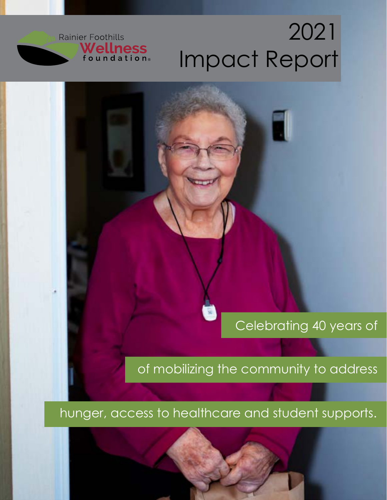# 2021 Impact Report

**Rainier Foothills** 

Wellness<br>foundation®

### Celebrating 40 years of

of mobilizing the community to address

hunger, access to healthcare and student supports.

2021 Impact Report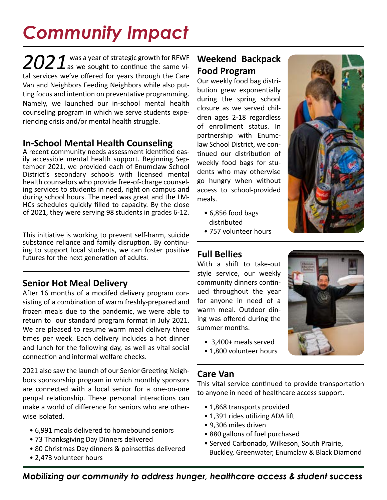## *Community Impact*

2021 was a year of strategic growth for RFWF<br>is we sought to continue the same vital services we've offered for years through the Care Van and Neighbors Feeding Neighbors while also putting focus and intention on preventative programming. Namely, we launched our in-school mental health counseling program in which we serve students experiencing crisis and/or mental health struggle.

### **In-School Mental Health Counseling**

A recent community needs assessment identified easily accessible mental health support. Beginning September 2021, we provided each of Enumclaw School District's secondary schools with licensed mental health counselors who provide free-of-charge counseling services to students in need, right on campus and during school hours. The need was great and the LM-HCs schedules quickly filled to capacity. By the close of 2021, they were serving 98 students in grades 6-12.

This initiative is working to prevent self-harm, suicide substance reliance and family disruption. By continuing to support local students, we can foster positive futures for the next generation of adults.

### **Senior Hot Meal Delivery**

After 16 months of a modifed delivery program consisting of a combination of warm freshly-prepared and frozen meals due to the pandemic, we were able to return to our standard program format in July 2021. We are pleased to resume warm meal delivery three times per week. Each delivery includes a hot dinner and lunch for the following day, as well as vital social connection and informal welfare checks.

2021 also saw the launch of our Senior Greeting Neighbors sponsorship program in which monthly sponsors are connected with a local senior for a one-on-one penpal relationship. These personal interactions can make a world of difference for seniors who are otherwise isolated.

- 6,991 meals delivered to homebound seniors
- 73 Thanksgiving Day Dinners delivered
- 80 Christmas Day dinners & poinsettias delivered
- 2,473 volunteer hours

### **Weekend Backpack Food Program**

Our weekly food bag distribution grew exponentially during the spring school closure as we served children ages 2-18 regardless of enrollment status. In partnership with Enumclaw School District, we continued our distribution of weekly food bags for students who may otherwise go hungry when without access to school-provided meals.

- 6,856 food bags distributed
- 757 volunteer hours

### **Full Bellies**

**.** 

With a shift to take-out style service, our weekly community dinners continued throughout the year for anyone in need of a warm meal. Outdoor dining was offered during the summer months.

- 3,400+ meals served
- 1,800 volunteer hours

### **Care Van**

This vital service continued to provide transportation to anyone in need of healthcare access support.

- 1,868 transports provided
- 1,391 rides utilizing ADA lift
- 9,306 miles driven
- 880 gallons of fuel purchased
- Served Carbonado, Wilkeson, South Prairie, Buckley, Greenwater, Enumclaw & Black Diamond





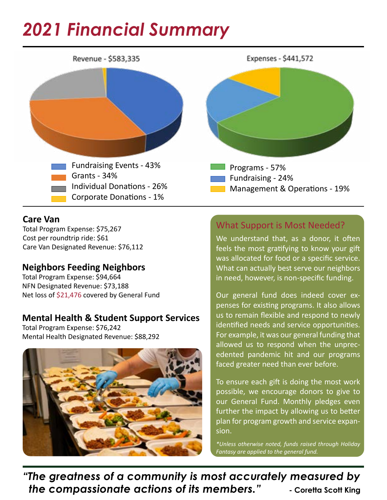### *2021 Financial Summary*



### **Care Van**

Total Program Expense: \$75,267 Cost per roundtrip ride: \$61 Care Van Designated Revenue: \$76,112

### **Neighbors Feeding Neighbors**

Total Program Expense: \$94,664 NFN Designated Revenue: \$73,188 Net loss of \$21,476 covered by General Fund

### **Mental Health & Student Support Services**

Total Program Expense: \$76,242 Mental Health Designated Revenue: \$88,292



### What Support is Most Needed?

We understand that, as a donor, it often feels the most gratifying to know your gift was allocated for food or a specific service. What can actually best serve our neighbors in need, however, is non-specific funding.

Our general fund does indeed cover expenses for existing programs. It also allows us to remain flexible and respond to newly identified needs and service opportunities. For example, it was our general funding that allowed us to respond when the unprecedented pandemic hit and our programs faced greater need than ever before.

To ensure each gift is doing the most work possible, we encourage donors to give to our General Fund. Monthly pledges even further the impact by allowing us to better plan for program growth and service expansion.

*\*Unless otherwise noted, funds raised through Holiday Fantasy are applied to the general fund.*

*"The greatness of a community is most accurately measured by the compassionate actions of its members." A coretta Scott King*